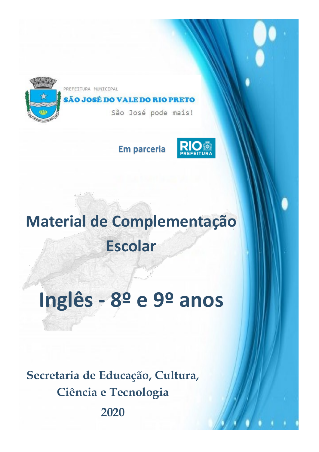

PREFEITURA MUNICIPAL

## SÃO JOSÉ DO VALE DO RIO PRETO

São José pode mais!

**Em parceria**



## **Material de Complementação Escolar**

# **Inglês - 8º e 9º anos**

**Secretaria de Educação, Cultura, Ciência e Tecnologia**

**2020**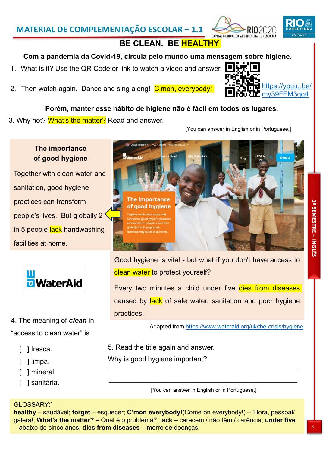**1º SEMESTRE – INGLÊS**

### MATERIAL DE COMPLEMENTAÇÃO ESCOLAR - 1.1

## **BE CLEAN. BE HEALTHY**

#### **Com a pandemia da Covid-19, circula pelo mundo uma mensagem sobre higiene.**

- 1. What is it? Use the QR Code or link to watch a video and answer.  $\blacksquare \blacktriangleright \blacktriangleright \blacksquare$
- 2. Then watch again. Dance and sing along! C'mon, everybody!

#### **Porém, manter esse hábito de higiene não é fácil em todos os lugares.**

3. Why not? <mark>What's the matter?</mark> Read and answer.

[You can answer in English or in Portuguese.]



Together with clean water and sanitation, good hygiene practices can transform people's lives. But globally 2 in 5 people lack handwashing facilities at home.



## 4. The meaning of *clean* in "access to clean water" is

- ] fresca.
- [ ] limpa.
- [ ] mineral.
- [ ] sanitária.

Good hygiene is vital - but what if you don't have access to clean water to protect yourself?

Every two minutes a child under five dies from diseases caused by lack of safe water, sanitation and poor hygiene practices.

Adapted from https://www.wateraid.org/uk/the-crisis/hygiene

5. Read the title again and answer.

Why is good hygiene important?

\_\_\_\_\_\_\_\_\_\_\_\_\_\_\_\_\_\_\_\_\_\_\_\_\_\_\_\_\_\_\_\_\_\_\_\_\_\_\_\_\_\_\_\_\_\_\_\_\_ [You can answer in English or in Portuguese.]

\_\_\_\_\_\_\_\_\_\_\_\_\_\_\_\_\_\_\_\_\_\_\_\_\_\_\_\_\_\_\_\_\_\_\_\_\_\_\_\_\_\_\_\_\_\_\_\_\_

#### GLOSSARY:'

**healthy** – saudável; **forget** – esquecer; **C'mon everybody!**(Come on everybody!) – 'Bora, pessoal/ galera!; **What's the matter?** – Qual é o problema?; l**ack** – carecem / não têm / carência; **under five** – abaixo de cinco anos; **dies from diseases** – morre de doenças.









ADITAL MINDIAL DA ADDITITIOA - UNESCO UJA